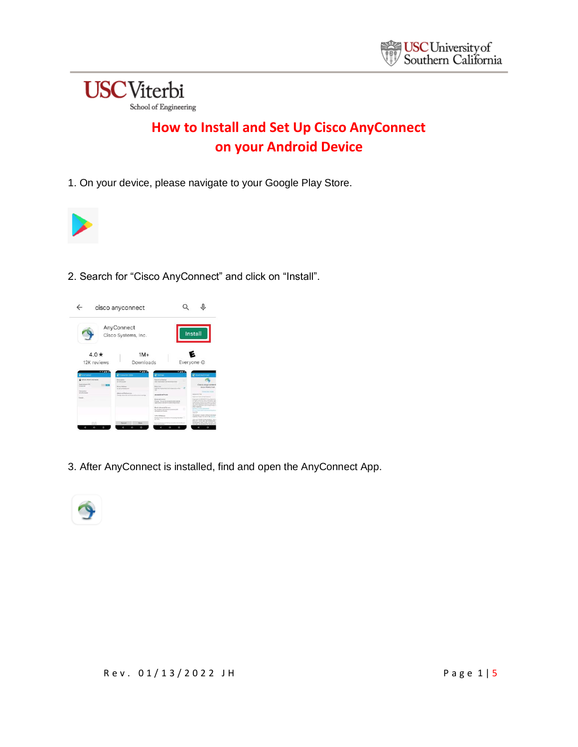

## **How to Install and Set Up Cisco AnyConnect on your Android Device**

1. On your device, please navigate to your Google Play Store.



2. Search for "Cisco AnyConnect" and click on "Install".



3. After AnyConnect is installed, find and open the AnyConnect App.

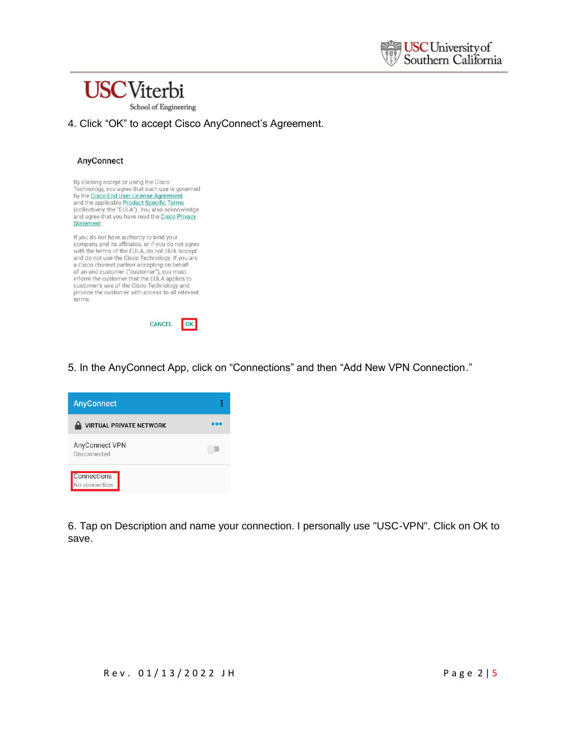



4. Click "OK" to accept Cisco AnyConnect's Agreement.

## AnyConnect





5. In the AnyConnect App, click on "Connections" and then "Add New VPN Connection."



6. Tap on Description and name your connection. I personally use "USC-VPN". Click on OK to save.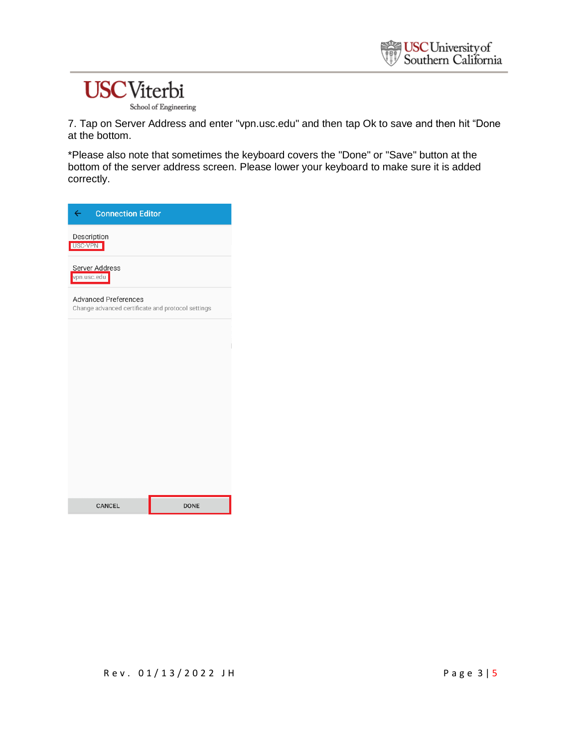## **USC**Viterbi

School of Engineering

7. Tap on Server Address and enter "vpn.usc.edu" and then tap Ok to save and then hit "Done at the bottom.

\*Please also note that sometimes the keyboard covers the "Done" or "Save" button at the bottom of the server address screen. Please lower your keyboard to make sure it is added correctly.

| $\leftarrow$<br><b>Connection Editor</b>                                         |             |  |
|----------------------------------------------------------------------------------|-------------|--|
| Description<br>USC-VPN                                                           |             |  |
| <b>Server Address</b><br>vpn.usc.edu                                             |             |  |
| <b>Advanced Preferences</b><br>Change advanced certificate and protocol settings |             |  |
|                                                                                  |             |  |
|                                                                                  |             |  |
|                                                                                  |             |  |
|                                                                                  |             |  |
|                                                                                  |             |  |
|                                                                                  |             |  |
| <b>CANCEL</b>                                                                    | <b>DONE</b> |  |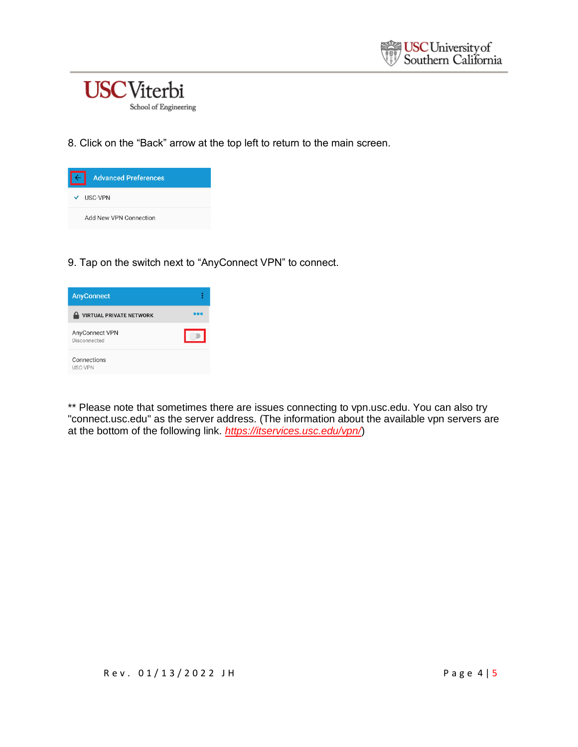

8. Click on the "Back" arrow at the top left to return to the main screen.

| <b>Advanced Preferences</b> |
|-----------------------------|
| $\vee$ USC-VPN              |
| Add New VPN Connection      |

9. Tap on the switch next to "AnyConnect VPN" to connect.

| <b>AnyConnect</b>              |  |
|--------------------------------|--|
| <b>VIRTUAL PRIVATE NETWORK</b> |  |
| AnyConnect VPN<br>Disconnected |  |
| Connections<br><b>USC-VPN</b>  |  |

\*\* Please note that sometimes there are issues connecting to vpn.usc.edu. You can also try "connect.usc.edu" as the server address. (The information about the available vpn servers are at the bottom of the following link. *<https://itservices.usc.edu/vpn/>*)